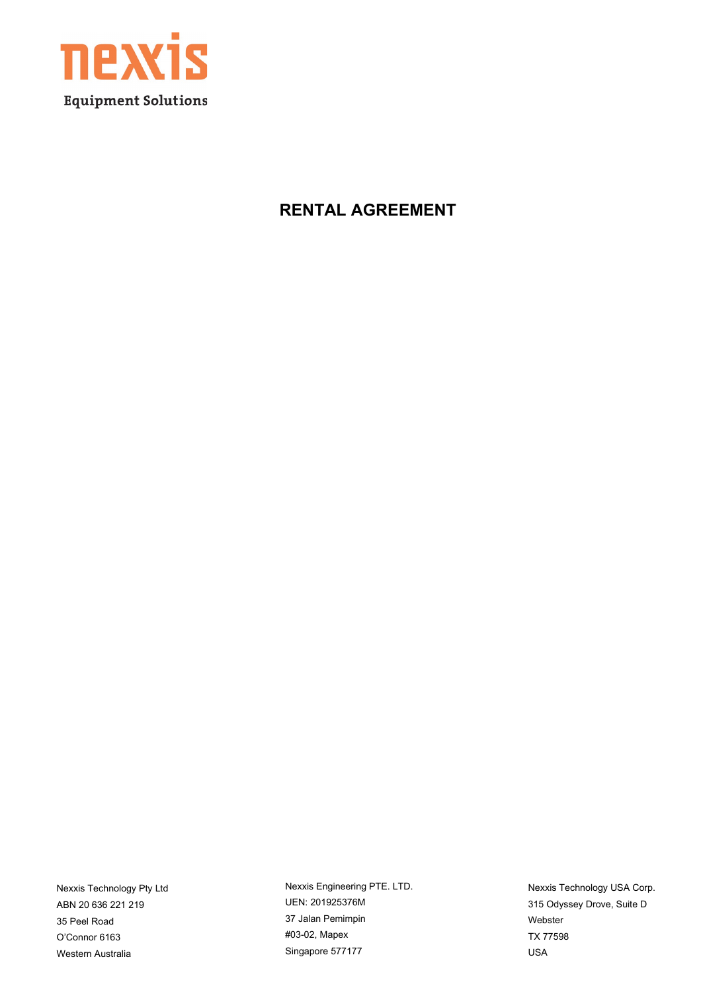

#### **RENTAL AGREEMENT**

Nexxis Technology Pty Ltd ABN 20 636 221 219 35 Peel Road O'Connor 6163 Western Australia

Nexxis Engineering PTE. LTD. UEN: 201925376M 37 Jalan Pemimpin #03-02, Mapex Singapore 577177

Nexxis Technology USA Corp. 315 Odyssey Drove, Suite D Webster TX 77598 USA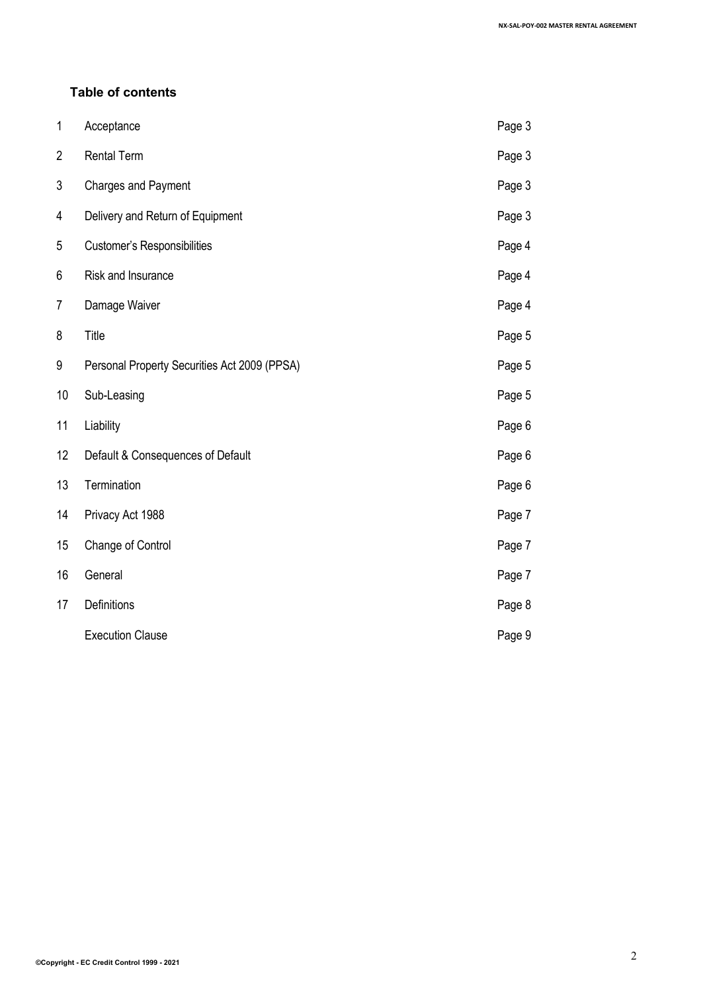#### **Table of contents**

| 1              | Acceptance                                   | Page 3 |
|----------------|----------------------------------------------|--------|
| $\overline{2}$ | <b>Rental Term</b>                           | Page 3 |
| 3              | <b>Charges and Payment</b>                   | Page 3 |
| 4              | Delivery and Return of Equipment             | Page 3 |
| 5              | Customer's Responsibilities                  | Page 4 |
| 6              | Risk and Insurance                           | Page 4 |
| $\overline{7}$ | Damage Waiver                                | Page 4 |
| 8              | Title                                        | Page 5 |
| 9              | Personal Property Securities Act 2009 (PPSA) | Page 5 |
| 10             | Sub-Leasing                                  | Page 5 |
| 11             | Liability                                    | Page 6 |
| 12             | Default & Consequences of Default            | Page 6 |
| 13             | Termination                                  | Page 6 |
| 14             | Privacy Act 1988                             | Page 7 |
| 15             | Change of Control                            | Page 7 |
| 16             | General                                      | Page 7 |
| 17             | Definitions                                  | Page 8 |
|                | <b>Execution Clause</b>                      | Page 9 |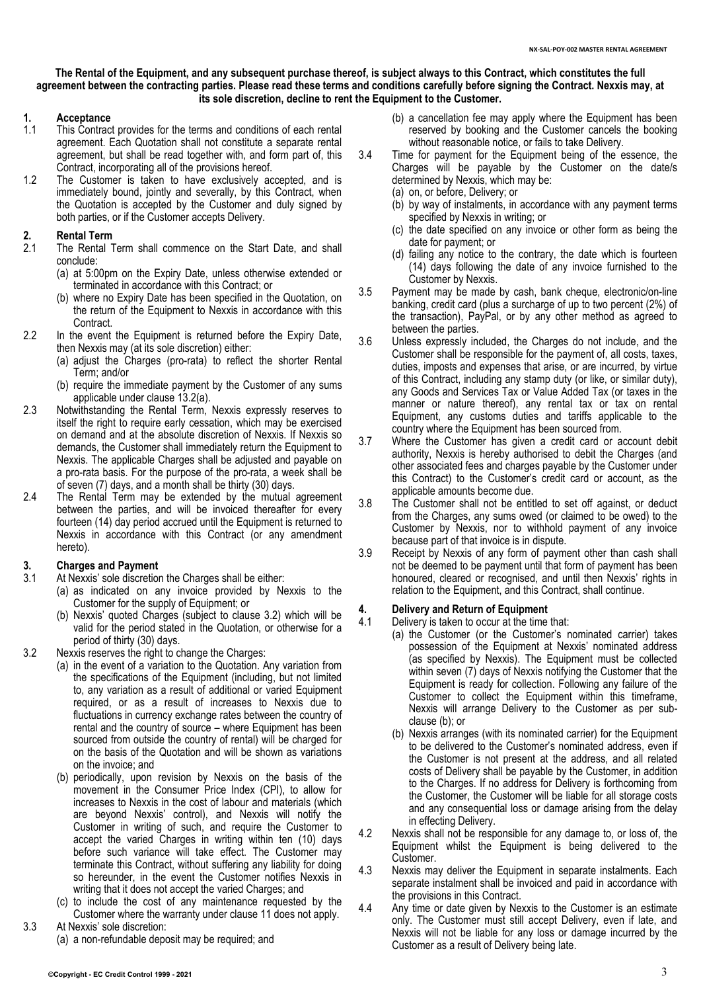#### **The Rental of the Equipment, and any subsequent purchase thereof, is subject always to this Contract, which constitutes the full agreement between the contracting parties. Please read these terms and conditions carefully before signing the Contract. Nexxis may, at its sole discretion, decline to rent the Equipment to the Customer.**

### **1. Acceptance**

- This Contract provides for the terms and conditions of each rental agreement. Each Quotation shall not constitute a separate rental agreement, but shall be read together with, and form part of, this Contract, incorporating all of the provisions hereof.
- 1.2 The Customer is taken to have exclusively accepted, and is immediately bound, jointly and severally, by this Contract, when the Quotation is accepted by the Customer and duly signed by both parties, or if the Customer accepts Delivery.

### **2. Rental Term**

- The Rental Term shall commence on the Start Date, and shall conclude:
	- (a) at 5:00pm on the Expiry Date, unless otherwise extended or terminated in accordance with this Contract; or
	- (b) where no Expiry Date has been specified in the Quotation, on the return of the Equipment to Nexxis in accordance with this Contract.
- 2.2 In the event the Equipment is returned before the Expiry Date, then Nexxis may (at its sole discretion) either:
	- (a) adjust the Charges (pro-rata) to reflect the shorter Rental Term; and/or
	- (b) require the immediate payment by the Customer of any sums applicable under clause [13.2\(a\).](#page-6-0)
- 2.3 Notwithstanding the Rental Term, Nexxis expressly reserves to itself the right to require early cessation, which may be exercised on demand and at the absolute discretion of Nexxis. If Nexxis so demands, the Customer shall immediately return the Equipment to Nexxis. The applicable Charges shall be adjusted and payable on a pro-rata basis. For the purpose of the pro-rata, a week shall be of seven (7) days, and a month shall be thirty (30) days.
- 2.4 The Rental Term may be extended by the mutual agreement between the parties, and will be invoiced thereafter for every fourteen (14) day period accrued until the Equipment is returned to Nexxis in accordance with this Contract (or any amendment hereto).

#### <span id="page-2-2"></span>**3. Charges and Payment**

- At Nexxis' sole discretion the Charges shall be either:
	- (a) as indicated on any invoice provided by Nexxis to the Customer for the supply of Equipment; or
	- (b) Nexxis' quoted Charges (subject to clause [3.2\)](#page-2-0) which will be valid for the period stated in the Quotation, or otherwise for a period of thirty (30) days.
- <span id="page-2-0"></span>3.2 Nexxis reserves the right to change the Charges:
	- (a) in the event of a variation to the Quotation. Any variation from the specifications of the Equipment (including, but not limited to, any variation as a result of additional or varied Equipment required, or as a result of increases to Nexxis due to fluctuations in currency exchange rates between the country of rental and the country of source – where Equipment has been sourced from outside the country of rental) will be charged for on the basis of the Quotation and will be shown as variations on the invoice; and
	- (b) periodically, upon revision by Nexxis on the basis of the movement in the Consumer Price Index (CPI), to allow for increases to Nexxis in the cost of labour and materials (which are beyond Nexxis' control), and Nexxis will notify the Customer in writing of such, and require the Customer to accept the varied Charges in writing within ten (10) days before such variance will take effect. The Customer may terminate this Contract, without suffering any liability for doing so hereunder, in the event the Customer notifies Nexxis in writing that it does not accept the varied Charges; and
	- (c) to include the cost of any maintenance requested by the Customer where the warranty under claus[e 11](#page-5-0) does not apply.
- 3.3 At Nexxis' sole discretion:
	- (a) a non-refundable deposit may be required; and
- (b) a cancellation fee may apply where the Equipment has been reserved by booking and the Customer cancels the booking without reasonable notice, or fails to take Delivery.
- 3.4 Time for payment for the Equipment being of the essence, the Charges will be payable by the Customer on the date/s determined by Nexxis, which may be:
	- (a) on, or before, Delivery; or
	- (b) by way of instalments, in accordance with any payment terms specified by Nexxis in writing; or
	- (c) the date specified on any invoice or other form as being the date for payment; or
	- (d) failing any notice to the contrary, the date which is fourteen (14) days following the date of any invoice furnished to the Customer by Nexxis.
- 3.5 Payment may be made by cash, bank cheque, electronic/on-line banking, credit card (plus a surcharge of up to two percent (2%) of the transaction), PayPal, or by any other method as agreed to between the parties.
- 3.6 Unless expressly included, the Charges do not include, and the Customer shall be responsible for the payment of, all costs, taxes, duties, imposts and expenses that arise, or are incurred, by virtue of this Contract, including any stamp duty (or like, or similar duty), any Goods and Services Tax or Value Added Tax (or taxes in the manner or nature thereof), any rental tax or tax on rental Equipment, any customs duties and tariffs applicable to the country where the Equipment has been sourced from.
- 3.7 Where the Customer has given a credit card or account debit authority, Nexxis is hereby authorised to debit the Charges (and other associated fees and charges payable by the Customer under this Contract) to the Customer's credit card or account, as the applicable amounts become due.
- 3.8 The Customer shall not be entitled to set off against, or deduct from the Charges, any sums owed (or claimed to be owed) to the Customer by Nexxis, nor to withhold payment of any invoice because part of that invoice is in dispute.
- 3.9 Receipt by Nexxis of any form of payment other than cash shall not be deemed to be payment until that form of payment has been honoured, cleared or recognised, and until then Nexxis' rights in relation to the Equipment, and this Contract, shall continue.

## <span id="page-2-3"></span>**4. Delivery and Return of Equipment**

- Delivery is taken to occur at the time that:
- (a) the Customer (or the Customer's nominated carrier) takes possession of the Equipment at Nexxis' nominated address (as specified by Nexxis). The Equipment must be collected within seven (7) days of Nexxis notifying the Customer that the Equipment is ready for collection. Following any failure of the Customer to collect the Equipment within this timeframe, Nexxis will arrange Delivery to the Customer as per subclaus[e \(b\);](#page-2-1) or
- <span id="page-2-1"></span>(b) Nexxis arranges (with its nominated carrier) for the Equipment to be delivered to the Customer's nominated address, even if the Customer is not present at the address, and all related costs of Delivery shall be payable by the Customer, in addition to the Charges. If no address for Delivery is forthcoming from the Customer, the Customer will be liable for all storage costs and any consequential loss or damage arising from the delay in effecting Delivery.
- 4.2 Nexxis shall not be responsible for any damage to, or loss of, the Equipment whilst the Equipment is being delivered to the Customer.
- 4.3 Nexxis may deliver the Equipment in separate instalments. Each separate instalment shall be invoiced and paid in accordance with the provisions in this Contract.
- 4.4 Any time or date given by Nexxis to the Customer is an estimate only. The Customer must still accept Delivery, even if late, and Nexxis will not be liable for any loss or damage incurred by the Customer as a result of Delivery being late.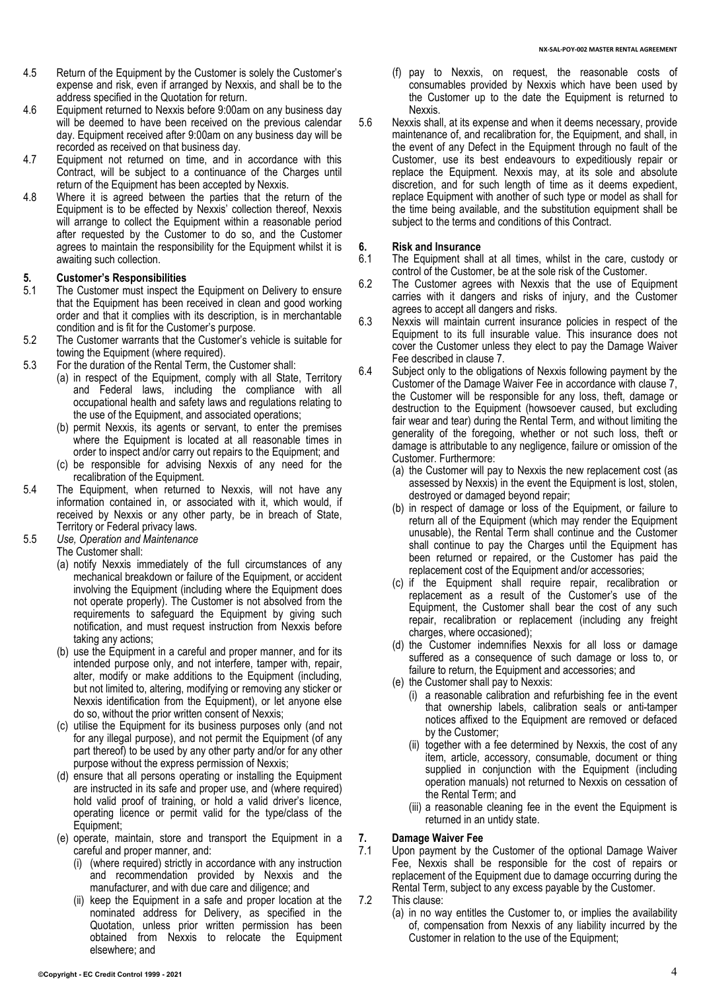- 4.5 Return of the Equipment by the Customer is solely the Customer's expense and risk, even if arranged by Nexxis, and shall be to the address specified in the Quotation for return.
- 4.6 Equipment returned to Nexxis before 9:00am on any business day will be deemed to have been received on the previous calendar day. Equipment received after 9:00am on any business day will be recorded as received on that business day.
- 4.7 Equipment not returned on time, and in accordance with this Contract, will be subject to a continuance of the Charges until return of the Equipment has been accepted by Nexxis.
- 4.8 Where it is agreed between the parties that the return of the Equipment is to be effected by Nexxis' collection thereof, Nexxis will arrange to collect the Equipment within a reasonable period after requested by the Customer to do so, and the Customer agrees to maintain the responsibility for the Equipment whilst it is awaiting such collection.

# **5. Customer's Responsibilities**

- The Customer must inspect the Equipment on Delivery to ensure that the Equipment has been received in clean and good working order and that it complies with its description, is in merchantable condition and is fit for the Customer's purpose.
- 5.2 The Customer warrants that the Customer's vehicle is suitable for towing the Equipment (where required).
- 5.3 For the duration of the Rental Term, the Customer shall:
	- (a) in respect of the Equipment, comply with all State, Territory and Federal laws, including the compliance with all occupational health and safety laws and regulations relating to the use of the Equipment, and associated operations;
		- (b) permit Nexxis, its agents or servant, to enter the premises where the Equipment is located at all reasonable times in order to inspect and/or carry out repairs to the Equipment; and
	- (c) be responsible for advising Nexxis of any need for the recalibration of the Equipment.
- 5.4 The Equipment, when returned to Nexxis, will not have any information contained in, or associated with it, which would, if received by Nexxis or any other party, be in breach of State, Territory or Federal privacy laws.
- 5.5 *Use, Operation and Maintenance*
	- The Customer shall:
		- (a) notify Nexxis immediately of the full circumstances of any mechanical breakdown or failure of the Equipment, or accident involving the Equipment (including where the Equipment does not operate properly). The Customer is not absolved from the requirements to safeguard the Equipment by giving such notification, and must request instruction from Nexxis before taking any actions;
		- (b) use the Equipment in a careful and proper manner, and for its intended purpose only, and not interfere, tamper with, repair, alter, modify or make additions to the Equipment (including, but not limited to, altering, modifying or removing any sticker or Nexxis identification from the Equipment), or let anyone else do so, without the prior written consent of Nexxis;
		- (c) utilise the Equipment for its business purposes only (and not for any illegal purpose), and not permit the Equipment (of any part thereof) to be used by any other party and/or for any other purpose without the express permission of Nexxis;
		- (d) ensure that all persons operating or installing the Equipment are instructed in its safe and proper use, and (where required) hold valid proof of training, or hold a valid driver's licence, operating licence or permit valid for the type/class of the Equipment;
		- (e) operate, maintain, store and transport the Equipment in a careful and proper manner, and:
			- (i) (where required) strictly in accordance with any instruction and recommendation provided by Nexxis and the manufacturer, and with due care and diligence; and
			- (ii) keep the Equipment in a safe and proper location at the nominated address for Delivery, as specified in the Quotation, unless prior written permission has been obtained from Nexxis to relocate the Equipment elsewhere; and
- (f) pay to Nexxis, on request, the reasonable costs of consumables provided by Nexxis which have been used by the Customer up to the date the Equipment is returned to Nexxis.
- 5.6 Nexxis shall, at its expense and when it deems necessary, provide maintenance of, and recalibration for, the Equipment, and shall, in the event of any Defect in the Equipment through no fault of the Customer, use its best endeavours to expeditiously repair or replace the Equipment. Nexxis may, at its sole and absolute discretion, and for such length of time as it deems expedient, replace Equipment with another of such type or model as shall for the time being available, and the substitution equipment shall be subject to the terms and conditions of this Contract.

## **6. Risk and Insurance**

- The Equipment shall at all times, whilst in the care, custody or control of the Customer, be at the sole risk of the Customer.
- 6.2 The Customer agrees with Nexxis that the use of Equipment carries with it dangers and risks of injury, and the Customer agrees to accept all dangers and risks.
- 6.3 Nexxis will maintain current insurance policies in respect of the Equipment to its full insurable value. This insurance does not cover the Customer unless they elect to pay the Damage Waiver Fee described in clause [7.](#page-3-0)
- 6.4 Subject only to the obligations of Nexxis following payment by the Customer of the Damage Waiver Fee in accordance with claus[e 7,](#page-3-0) the Customer will be responsible for any loss, theft, damage or destruction to the Equipment (howsoever caused, but excluding fair wear and tear) during the Rental Term, and without limiting the generality of the foregoing, whether or not such loss, theft or damage is attributable to any negligence, failure or omission of the Customer. Furthermore:
	- (a) the Customer will pay to Nexxis the new replacement cost (as assessed by Nexxis) in the event the Equipment is lost, stolen, destroyed or damaged beyond repair;
	- (b) in respect of damage or loss of the Equipment, or failure to return all of the Equipment (which may render the Equipment unusable), the Rental Term shall continue and the Customer shall continue to pay the Charges until the Equipment has been returned or repaired, or the Customer has paid the replacement cost of the Equipment and/or accessories;
	- (c) if the Equipment shall require repair, recalibration or replacement as a result of the Customer's use of the Equipment, the Customer shall bear the cost of any such repair, recalibration or replacement (including any freight charges, where occasioned);
	- (d) the Customer indemnifies Nexxis for all loss or damage suffered as a consequence of such damage or loss to, or failure to return, the Equipment and accessories; and
	- (e) the Customer shall pay to Nexxis:
		- (i) a reasonable calibration and refurbishing fee in the event that ownership labels, calibration seals or anti-tamper notices affixed to the Equipment are removed or defaced by the Customer;
		- (ii) together with a fee determined by Nexxis, the cost of any item, article, accessory, consumable, document or thing supplied in conjunction with the Equipment (including operation manuals) not returned to Nexxis on cessation of the Rental Term; and
		- (iii) a reasonable cleaning fee in the event the Equipment is returned in an untidy state.

#### <span id="page-3-0"></span>**7. Damage Waiver Fee**

- 7.1 Upon payment by the Customer of the optional Damage Waiver Fee, Nexxis shall be responsible for the cost of repairs or replacement of the Equipment due to damage occurring during the Rental Term, subject to any excess payable by the Customer.
- 7.2 This clause:
	- (a) in no way entitles the Customer to, or implies the availability of, compensation from Nexxis of any liability incurred by the Customer in relation to the use of the Equipment;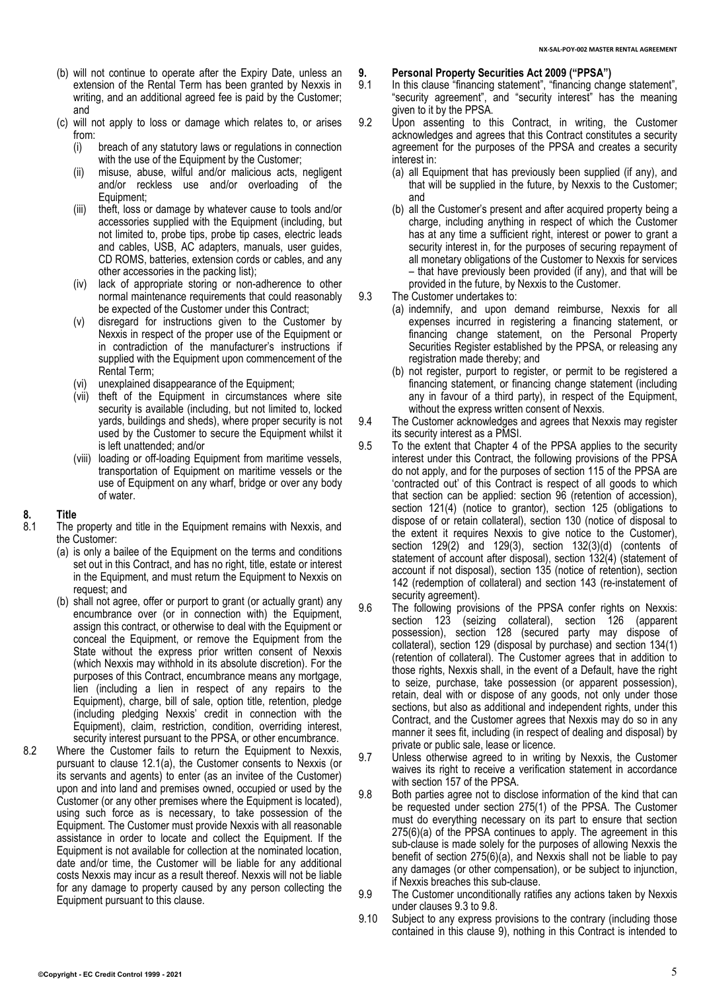- (b) will not continue to operate after the Expiry Date, unless an extension of the Rental Term has been granted by Nexxis in writing, and an additional agreed fee is paid by the Customer; and
- (c) will not apply to loss or damage which relates to, or arises from:<br>(i)
	- breach of any statutory laws or regulations in connection with the use of the Equipment by the Customer;
	- (ii) misuse, abuse, wilful and/or malicious acts, negligent and/or reckless use and/or overloading of the Equipment;
	- (iii) theft, loss or damage by whatever cause to tools and/or accessories supplied with the Equipment (including, but not limited to, probe tips, probe tip cases, electric leads and cables, USB, AC adapters, manuals, user guides, CD ROMS, batteries, extension cords or cables, and any other accessories in the packing list);
	- (iv) lack of appropriate storing or non-adherence to other normal maintenance requirements that could reasonably be expected of the Customer under this Contract;
	- (v) disregard for instructions given to the Customer by Nexxis in respect of the proper use of the Equipment or in contradiction of the manufacturer's instructions if supplied with the Equipment upon commencement of the Rental Term;
	- (vi) unexplained disappearance of the Equipment;
	- (vii) theft of the Equipment in circumstances where site security is available (including, but not limited to, locked yards, buildings and sheds), where proper security is not used by the Customer to secure the Equipment whilst it is left unattended; and/or
	- (viii) loading or off-loading Equipment from maritime vessels, transportation of Equipment on maritime vessels or the use of Equipment on any wharf, bridge or over any body of water.

### **8. Title**

- The property and title in the Equipment remains with Nexxis, and the Customer:
	- (a) is only a bailee of the Equipment on the terms and conditions set out in this Contract, and has no right, title, estate or interest in the Equipment, and must return the Equipment to Nexxis on request; and
	- (b) shall not agree, offer or purport to grant (or actually grant) any encumbrance over (or in connection with) the Equipment, assign this contract, or otherwise to deal with the Equipment or conceal the Equipment, or remove the Equipment from the State without the express prior written consent of Nexxis (which Nexxis may withhold in its absolute discretion). For the purposes of this Contract, encumbrance means any mortgage, lien (including a lien in respect of any repairs to the Equipment), charge, bill of sale, option title, retention, pledge (including pledging Nexxis' credit in connection with the Equipment), claim, restriction, condition, overriding interest, security interest pursuant to the PPSA, or other encumbrance.
- 8.2 Where the Customer fails to return the Equipment to Nexxis, pursuant to clause [12.1\(a\),](#page-5-1) the Customer consents to Nexxis (or its servants and agents) to enter (as an invitee of the Customer) upon and into land and premises owned, occupied or used by the Customer (or any other premises where the Equipment is located), using such force as is necessary, to take possession of the Equipment. The Customer must provide Nexxis with all reasonable assistance in order to locate and collect the Equipment. If the Equipment is not available for collection at the nominated location, date and/or time, the Customer will be liable for any additional costs Nexxis may incur as a result thereof. Nexxis will not be liable for any damage to property caused by any person collecting the Equipment pursuant to this clause.
- <span id="page-4-2"></span>**9. Personal Property Securities Act 2009 ("PPSA")**
	- In this clause "financing statement", "financing change statement", "security agreement", and "security interest" has the meaning given to it by the PPSA.
- 9.2 Upon assenting to this Contract, in writing, the Customer acknowledges and agrees that this Contract constitutes a security agreement for the purposes of the PPSA and creates a security interest in:
	- (a) all Equipment that has previously been supplied (if any), and that will be supplied in the future, by Nexxis to the Customer; and
	- (b) all the Customer's present and after acquired property being a charge, including anything in respect of which the Customer has at any time a sufficient right, interest or power to grant a security interest in, for the purposes of securing repayment of all monetary obligations of the Customer to Nexxis for services – that have previously been provided (if any), and that will be provided in the future, by Nexxis to the Customer.
- <span id="page-4-3"></span><span id="page-4-0"></span>9.3 The Customer undertakes to:
	- (a) indemnify, and upon demand reimburse, Nexxis for all expenses incurred in registering a financing statement, or financing change statement, on the Personal Property Securities Register established by the PPSA, or releasing any registration made thereby; and
	- (b) not register, purport to register, or permit to be registered a financing statement, or financing change statement (including any in favour of a third party), in respect of the Equipment, without the express written consent of Nexxis.
- 9.4 The Customer acknowledges and agrees that Nexxis may register its security interest as a PMSI.
- 9.5 To the extent that Chapter 4 of the PPSA applies to the security interest under this Contract, the following provisions of the PPSA do not apply, and for the purposes of section 115 of the PPSA are 'contracted out' of this Contract is respect of all goods to which that section can be applied: section 96 (retention of accession), section 121(4) (notice to grantor), section 125 (obligations to dispose of or retain collateral), section 130 (notice of disposal to the extent it requires Nexxis to give notice to the Customer), section 129(2) and 129(3), section 132(3)(d) (contents of statement of account after disposal), section 132(4) (statement of account if not disposal), section 135 (notice of retention), section 142 (redemption of collateral) and section 143 (re-instatement of security agreement).
- 9.6 The following provisions of the PPSA confer rights on Nexxis: section 123 (seizing collateral), section 126 (apparent possession), section 128 (secured party may dispose of collateral), section 129 (disposal by purchase) and section 134(1) (retention of collateral). The Customer agrees that in addition to those rights, Nexxis shall, in the event of a Default, have the right to seize, purchase, take possession (or apparent possession), retain, deal with or dispose of any goods, not only under those sections, but also as additional and independent rights, under this Contract, and the Customer agrees that Nexxis may do so in any manner it sees fit, including (in respect of dealing and disposal) by private or public sale, lease or licence.
- 9.7 Unless otherwise agreed to in writing by Nexxis, the Customer waives its right to receive a verification statement in accordance with section 157 of the PPSA.
- <span id="page-4-1"></span>9.8 Both parties agree not to disclose information of the kind that can be requested under section 275(1) of the PPSA. The Customer must do everything necessary on its part to ensure that section 275(6)(a) of the PPSA continues to apply. The agreement in this sub-clause is made solely for the purposes of allowing Nexxis the benefit of section 275(6)(a), and Nexxis shall not be liable to pay any damages (or other compensation), or be subject to injunction, if Nexxis breaches this sub-clause.
- 9.9 The Customer unconditionally ratifies any actions taken by Nexxis under clause[s 9.3](#page-4-0) to [9.8.](#page-4-1)
- 9.10 Subject to any express provisions to the contrary (including those contained in this clause [9\)](#page-4-2), nothing in this Contract is intended to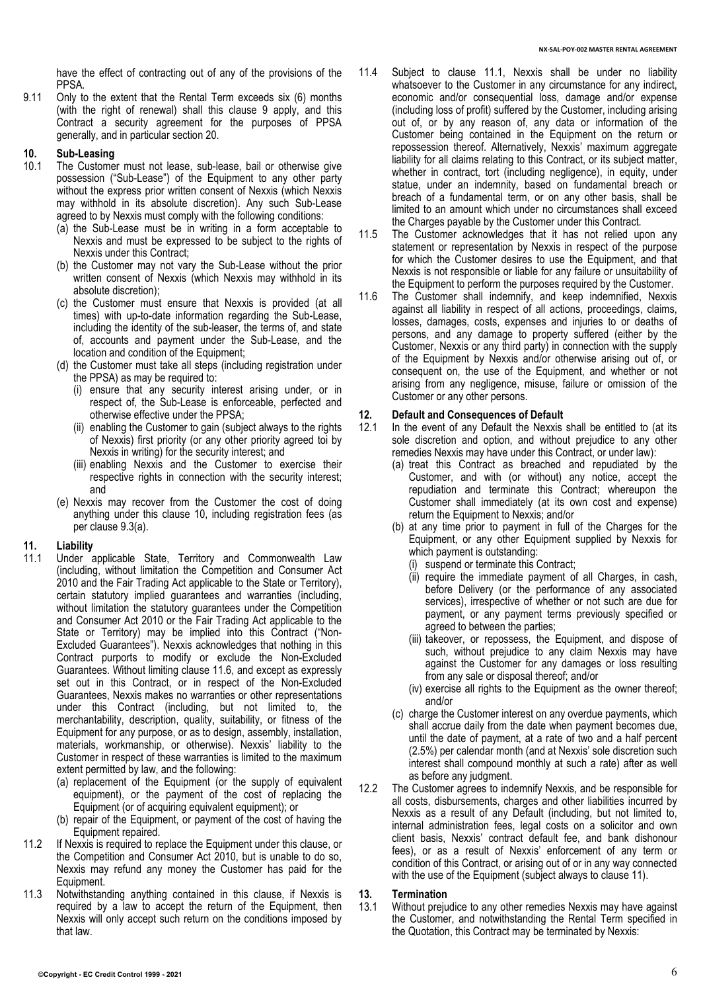have the effect of contracting out of any of the provisions of the PPSA.

9.11 Only to the extent that the Rental Term exceeds six (6) months (with the right of renewal) shall this clause [9](#page-4-2) apply, and this Contract a security agreement for the purposes of PPSA generally, and in particular section 20.

## <span id="page-5-2"></span>**10. Sub-Leasing**

- The Customer must not lease, sub-lease, bail or otherwise give possession ("Sub-Lease") of the Equipment to any other party without the express prior written consent of Nexxis (which Nexxis may withhold in its absolute discretion). Any such Sub-Lease agreed to by Nexxis must comply with the following conditions:
	- (a) the Sub-Lease must be in writing in a form acceptable to Nexxis and must be expressed to be subject to the rights of Nexxis under this Contract;
	- (b) the Customer may not vary the Sub-Lease without the prior written consent of Nexxis (which Nexxis may withhold in its absolute discretion);
	- (c) the Customer must ensure that Nexxis is provided (at all times) with up-to-date information regarding the Sub-Lease, including the identity of the sub-leaser, the terms of, and state of, accounts and payment under the Sub-Lease, and the location and condition of the Equipment;
	- (d) the Customer must take all steps (including registration under the PPSA) as may be required to:
		- (i) ensure that any security interest arising under, or in respect of, the Sub-Lease is enforceable, perfected and otherwise effective under the PPSA;
		- (ii) enabling the Customer to gain (subject always to the rights of Nexxis) first priority (or any other priority agreed toi by Nexxis in writing) for the security interest; and
		- (iii) enabling Nexxis and the Customer to exercise their respective rights in connection with the security interest; and
	- (e) Nexxis may recover from the Customer the cost of doing anything under this clause [10,](#page-5-2) including registration fees (as per claus[e 9.3\(a\).](#page-4-3)

#### <span id="page-5-0"></span>**11. Liability**

- <span id="page-5-3"></span>11.1 Under applicable State, Territory and Commonwealth Law (including, without limitation the Competition and Consumer Act 2010 and the Fair Trading Act applicable to the State or Territory), certain statutory implied guarantees and warranties (including, without limitation the statutory guarantees under the Competition and Consumer Act 2010 or the Fair Trading Act applicable to the State or Territory) may be implied into this Contract ("Non-Excluded Guarantees"). Nexxis acknowledges that nothing in this Contract purports to modify or exclude the Non-Excluded Guarantees. Without limiting clause 11.6, and except as expressly set out in this Contract, or in respect of the Non-Excluded Guarantees, Nexxis makes no warranties or other representations under this Contract (including, but not limited to, the merchantability, description, quality, suitability, or fitness of the Equipment for any purpose, or as to design, assembly, installation, materials, workmanship, or otherwise). Nexxis' liability to the Customer in respect of these warranties is limited to the maximum extent permitted by law, and the following:
	- (a) replacement of the Equipment (or the supply of equivalent equipment), or the payment of the cost of replacing the Equipment (or of acquiring equivalent equipment); or
	- (b) repair of the Equipment, or payment of the cost of having the Equipment repaired.
- 11.2 If Nexxis is required to replace the Equipment under this clause, or the Competition and Consumer Act 2010, but is unable to do so, Nexxis may refund any money the Customer has paid for the Equipment.
- 11.3 Notwithstanding anything contained in this clause, if Nexxis is required by a law to accept the return of the Equipment, then Nexxis will only accept such return on the conditions imposed by that law.
- 11.4 Subject to clause [11.1,](#page-5-3) Nexxis shall be under no liability whatsoever to the Customer in any circumstance for any indirect, economic and/or consequential loss, damage and/or expense (including loss of profit) suffered by the Customer, including arising out of, or by any reason of, any data or information of the Customer being contained in the Equipment on the return or repossession thereof. Alternatively, Nexxis' maximum aggregate liability for all claims relating to this Contract, or its subject matter, whether in contract, tort (including negligence), in equity, under statue, under an indemnity, based on fundamental breach or breach of a fundamental term, or on any other basis, shall be limited to an amount which under no circumstances shall exceed the Charges payable by the Customer under this Contract.
- 11.5 The Customer acknowledges that it has not relied upon any statement or representation by Nexxis in respect of the purpose for which the Customer desires to use the Equipment, and that Nexxis is not responsible or liable for any failure or unsuitability of the Equipment to perform the purposes required by the Customer.
- 11.6 The Customer shall indemnify, and keep indemnified, Nexxis against all liability in respect of all actions, proceedings, claims, losses, damages, costs, expenses and injuries to or deaths of persons, and any damage to property suffered (either by the Customer, Nexxis or any third party) in connection with the supply of the Equipment by Nexxis and/or otherwise arising out of, or consequent on, the use of the Equipment, and whether or not arising from any negligence, misuse, failure or omission of the Customer or any other persons.

## **12. Default and Consequences of Default**

- <span id="page-5-1"></span>In the event of any Default the Nexxis shall be entitled to (at its sole discretion and option, and without prejudice to any other remedies Nexxis may have under this Contract, or under law):
	- (a) treat this Contract as breached and repudiated by the Customer, and with (or without) any notice, accept the repudiation and terminate this Contract; whereupon the Customer shall immediately (at its own cost and expense) return the Equipment to Nexxis; and/or
	- (b) at any time prior to payment in full of the Charges for the Equipment, or any other Equipment supplied by Nexxis for which payment is outstanding:
		- (i) suspend or terminate this Contract;
		- (ii) require the immediate payment of all Charges, in cash, before Delivery (or the performance of any associated services), irrespective of whether or not such are due for payment, or any payment terms previously specified or agreed to between the parties;
		- (iii) takeover, or repossess, the Equipment, and dispose of such, without prejudice to any claim Nexxis may have against the Customer for any damages or loss resulting from any sale or disposal thereof; and/or
		- (iv) exercise all rights to the Equipment as the owner thereof; and/or
	- (c) charge the Customer interest on any overdue payments, which shall accrue daily from the date when payment becomes due, until the date of payment, at a rate of two and a half percent (2.5%) per calendar month (and at Nexxis' sole discretion such interest shall compound monthly at such a rate) after as well as before any judgment.
- 12.2 The Customer agrees to indemnify Nexxis, and be responsible for all costs, disbursements, charges and other liabilities incurred by Nexxis as a result of any Default (including, but not limited to, internal administration fees, legal costs on a solicitor and own client basis, Nexxis' contract default fee, and bank dishonour fees), or as a result of Nexxis' enforcement of any term or condition of this Contract, or arising out of or in any way connected with the use of the Equipment (subject always to clause [11\)](#page-5-0).

## **13. Termination**

Without prejudice to any other remedies Nexxis may have against the Customer, and notwithstanding the Rental Term specified in the Quotation, this Contract may be terminated by Nexxis: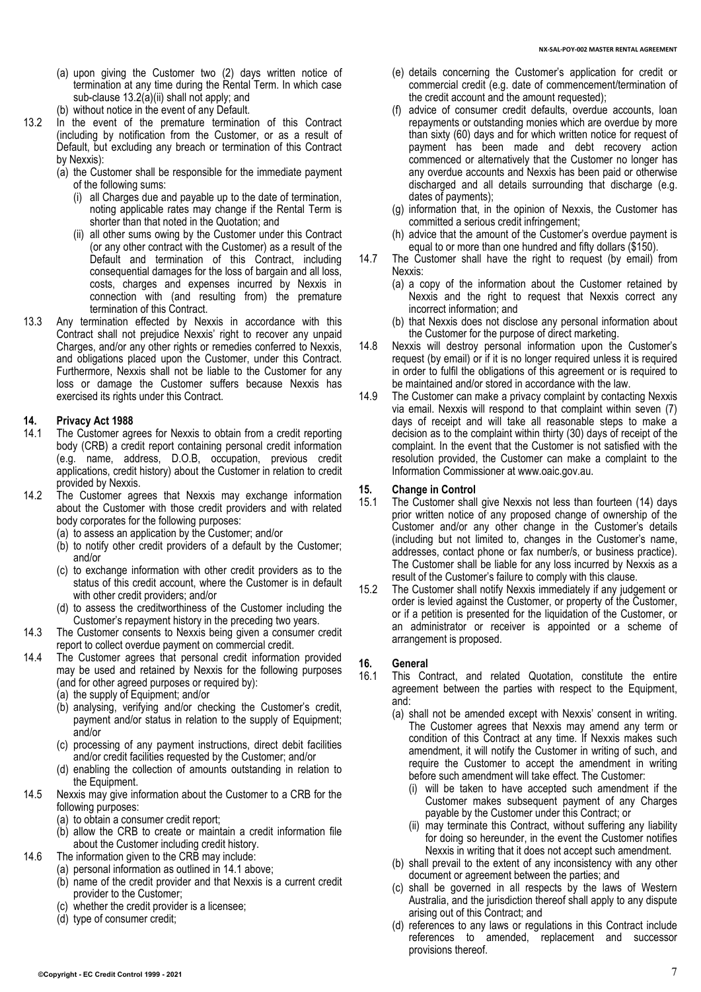- (a) upon giving the Customer two (2) days written notice of termination at any time during the Rental Term. In which case sub-clause [13.2\(a\)\(ii\)](#page-6-1) shall not apply; and
- (b) without notice in the event of any Default.
- <span id="page-6-0"></span>13.2 In the event of the premature termination of this Contract (including by notification from the Customer, or as a result of Default, but excluding any breach or termination of this Contract by Nexxis):
	- (a) the Customer shall be responsible for the immediate payment of the following sums:
		- (i) all Charges due and payable up to the date of termination, noting applicable rates may change if the Rental Term is shorter than that noted in the Quotation; and
		- (ii) all other sums owing by the Customer under this Contract (or any other contract with the Customer) as a result of the Default and termination of this Contract, including consequential damages for the loss of bargain and all loss, costs, charges and expenses incurred by Nexxis in connection with (and resulting from) the premature termination of this Contract.
- <span id="page-6-1"></span>13.3 Any termination effected by Nexxis in accordance with this Contract shall not prejudice Nexxis' right to recover any unpaid Charges, and/or any other rights or remedies conferred to Nexxis, and obligations placed upon the Customer, under this Contract. Furthermore, Nexxis shall not be liable to the Customer for any loss or damage the Customer suffers because Nexxis has exercised its rights under this Contract.

# **14. Privacy Act 1988**

- <span id="page-6-2"></span>The Customer agrees for Nexxis to obtain from a credit reporting body (CRB) a credit report containing personal credit information (e.g. name, address, D.O.B, occupation, previous credit applications, credit history) about the Customer in relation to credit provided by Nexxis.
- 14.2 The Customer agrees that Nexxis may exchange information about the Customer with those credit providers and with related body corporates for the following purposes:
	- (a) to assess an application by the Customer; and/or
	- (b) to notify other credit providers of a default by the Customer; and/or
	- (c) to exchange information with other credit providers as to the status of this credit account, where the Customer is in default with other credit providers; and/or
	- (d) to assess the creditworthiness of the Customer including the Customer's repayment history in the preceding two years.
- 14.3 The Customer consents to Nexxis being given a consumer credit report to collect overdue payment on commercial credit.
- 14.4 The Customer agrees that personal credit information provided may be used and retained by Nexxis for the following purposes (and for other agreed purposes or required by):
	- (a) the supply of Equipment; and/or
	- (b) analysing, verifying and/or checking the Customer's credit, payment and/or status in relation to the supply of Equipment; and/or
	- (c) processing of any payment instructions, direct debit facilities and/or credit facilities requested by the Customer; and/or
	- (d) enabling the collection of amounts outstanding in relation to the Equipment.
- 14.5 Nexxis may give information about the Customer to a CRB for the following purposes:
	- (a) to obtain a consumer credit report;
	- (b) allow the CRB to create or maintain a credit information file about the Customer including credit history.
- 14.6 The information given to the CRB may include:
	- (a) personal information as outlined i[n 14.1](#page-6-2) above;
	- (b) name of the credit provider and that Nexxis is a current credit provider to the Customer;
	- (c) whether the credit provider is a licensee;
	- (d) type of consumer credit;
- (e) details concerning the Customer's application for credit or commercial credit (e.g. date of commencement/termination of the credit account and the amount requested);
- (f) advice of consumer credit defaults, overdue accounts, loan repayments or outstanding monies which are overdue by more than sixty (60) days and for which written notice for request of payment has been made and debt recovery action commenced or alternatively that the Customer no longer has any overdue accounts and Nexxis has been paid or otherwise discharged and all details surrounding that discharge (e.g. dates of payments);
- (g) information that, in the opinion of Nexxis, the Customer has committed a serious credit infringement;
- (h) advice that the amount of the Customer's overdue payment is equal to or more than one hundred and fifty dollars (\$150).
- 14.7 The Customer shall have the right to request (by email) from Nexxis:
	- (a) a copy of the information about the Customer retained by Nexxis and the right to request that Nexxis correct any incorrect information; and
	- (b) that Nexxis does not disclose any personal information about the Customer for the purpose of direct marketing.
- 14.8 Nexxis will destroy personal information upon the Customer's request (by email) or if it is no longer required unless it is required in order to fulfil the obligations of this agreement or is required to be maintained and/or stored in accordance with the law.
- 14.9 The Customer can make a privacy complaint by contacting Nexxis via email. Nexxis will respond to that complaint within seven (7) days of receipt and will take all reasonable steps to make a decision as to the complaint within thirty (30) days of receipt of the complaint. In the event that the Customer is not satisfied with the resolution provided, the Customer can make a complaint to the Information Commissioner at www.oaic.gov.au.

## **15. Change in Control**

- The Customer shall give Nexxis not less than fourteen (14) days prior written notice of any proposed change of ownership of the Customer and/or any other change in the Customer's details (including but not limited to, changes in the Customer's name, addresses, contact phone or fax number/s, or business practice). The Customer shall be liable for any loss incurred by Nexxis as a result of the Customer's failure to comply with this clause.
- 15.2 The Customer shall notify Nexxis immediately if any judgement or order is levied against the Customer, or property of the Customer, or if a petition is presented for the liquidation of the Customer, or an administrator or receiver is appointed or a scheme of arrangement is proposed.

## **16. General**

- This Contract, and related Quotation, constitute the entire agreement between the parties with respect to the Equipment, and:
	- (a) shall not be amended except with Nexxis' consent in writing. The Customer agrees that Nexxis may amend any term or condition of this Contract at any time. If Nexxis makes such amendment, it will notify the Customer in writing of such, and require the Customer to accept the amendment in writing before such amendment will take effect. The Customer:
		- (i) will be taken to have accepted such amendment if the Customer makes subsequent payment of any Charges payable by the Customer under this Contract; or
		- (ii) may terminate this Contract, without suffering any liability for doing so hereunder, in the event the Customer notifies Nexxis in writing that it does not accept such amendment.
	- (b) shall prevail to the extent of any inconsistency with any other document or agreement between the parties; and
	- (c) shall be governed in all respects by the laws of Western Australia, and the jurisdiction thereof shall apply to any dispute arising out of this Contract; and
	- (d) references to any laws or regulations in this Contract include references to amended, replacement and successor provisions thereof.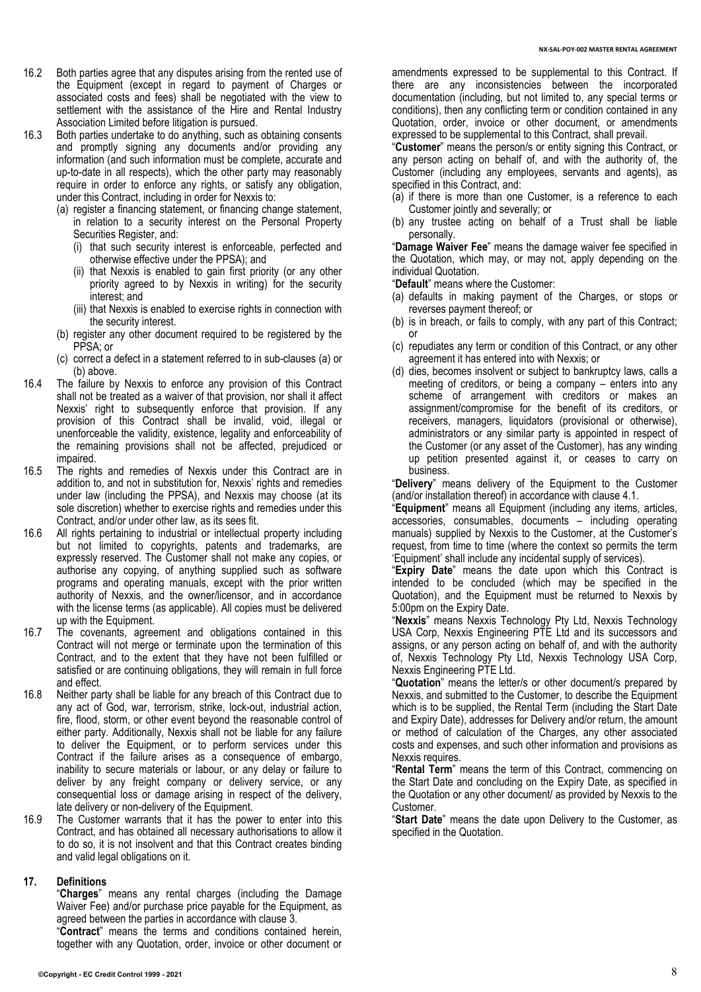- 16.2 Both parties agree that any disputes arising from the rented use of the Equipment (except in regard to payment of Charges or associated costs and fees) shall be negotiated with the view to settlement with the assistance of the Hire and Rental Industry Association Limited before litigation is pursued.
- <span id="page-7-0"></span>16.3 Both parties undertake to do anything, such as obtaining consents and promptly signing any documents and/or providing any information (and such information must be complete, accurate and up-to-date in all respects), which the other party may reasonably require in order to enforce any rights, or satisfy any obligation, under this Contract, including in order for Nexxis to:
	- (a) register a financing statement, or financing change statement, in relation to a security interest on the Personal Property Securities Register, and:
		- (i) that such security interest is enforceable, perfected and otherwise effective under the PPSA); and
		- (ii) that Nexxis is enabled to gain first priority (or any other priority agreed to by Nexxis in writing) for the security interest; and
		- (iii) that Nexxis is enabled to exercise rights in connection with the security interest.
	- (b) register any other document required to be registered by the PPSA; or
	- (c) correct a defect in a statement referred to in sub-clauses [\(a\)](#page-7-0) or [\(b\)](#page-7-1) above.
- <span id="page-7-1"></span>16.4 The failure by Nexxis to enforce any provision of this Contract shall not be treated as a waiver of that provision, nor shall it affect Nexxis' right to subsequently enforce that provision. If any provision of this Contract shall be invalid, void, illegal or unenforceable the validity, existence, legality and enforceability of the remaining provisions shall not be affected, prejudiced or impaired.
- 16.5 The rights and remedies of Nexxis under this Contract are in addition to, and not in substitution for, Nexxis' rights and remedies under law (including the PPSA), and Nexxis may choose (at its sole discretion) whether to exercise rights and remedies under this Contract, and/or under other law, as its sees fit.
- 16.6 All rights pertaining to industrial or intellectual property including but not limited to copyrights, patents and trademarks, are expressly reserved. The Customer shall not make any copies, or authorise any copying, of anything supplied such as software programs and operating manuals, except with the prior written authority of Nexxis, and the owner/licensor, and in accordance with the license terms (as applicable). All copies must be delivered up with the Equipment.
- 16.7 The covenants, agreement and obligations contained in this Contract will not merge or terminate upon the termination of this Contract, and to the extent that they have not been fulfilled or satisfied or are continuing obligations, they will remain in full force and effect.
- 16.8 Neither party shall be liable for any breach of this Contract due to any act of God, war, terrorism, strike, lock-out, industrial action, fire, flood, storm, or other event beyond the reasonable control of either party. Additionally, Nexxis shall not be liable for any failure to deliver the Equipment, or to perform services under this Contract if the failure arises as a consequence of embargo, inability to secure materials or labour, or any delay or failure to deliver by any freight company or delivery service, or any consequential loss or damage arising in respect of the delivery, late delivery or non-delivery of the Equipment.
- 16.9 The Customer warrants that it has the power to enter into this Contract, and has obtained all necessary authorisations to allow it to do so, it is not insolvent and that this Contract creates binding and valid legal obligations on it.

#### **17. Definitions**

"**Charges**" means any rental charges (including the Damage Waiver Fee) and/or purchase price payable for the Equipment, as agreed between the parties in accordance with clause [3.](#page-2-2)

"**Contract**" means the terms and conditions contained herein, together with any Quotation, order, invoice or other document or amendments expressed to be supplemental to this Contract. If there are any inconsistencies between the incorporated documentation (including, but not limited to, any special terms or conditions), then any conflicting term or condition contained in any Quotation, order, invoice or other document, or amendments expressed to be supplemental to this Contract, shall prevail.

"**Customer**" means the person/s or entity signing this Contract, or any person acting on behalf of, and with the authority of, the Customer (including any employees, servants and agents), as specified in this Contract, and:

- (a) if there is more than one Customer, is a reference to each Customer jointly and severally; or
- (b) any trustee acting on behalf of a Trust shall be liable personally.

"**Damage Waiver Fee**" means the damage waiver fee specified in the Quotation, which may, or may not, apply depending on the individual Quotation.

- "**Default**" means where the Customer:
- (a) defaults in making payment of the Charges, or stops or reverses payment thereof; or
- (b) is in breach, or fails to comply, with any part of this Contract; or
- (c) repudiates any term or condition of this Contract, or any other agreement it has entered into with Nexxis; or
- (d) dies, becomes insolvent or subject to bankruptcy laws, calls a meeting of creditors, or being a company – enters into any scheme of arrangement with creditors or makes an assignment/compromise for the benefit of its creditors, or receivers, managers, liquidators (provisional or otherwise), administrators or any similar party is appointed in respect of the Customer (or any asset of the Customer), has any winding up petition presented against it, or ceases to carry on business.

"**Delivery**" means delivery of the Equipment to the Customer (and/or installation thereof) in accordance with clause [4.1.](#page-2-3)

"**Equipment**" means all Equipment (including any items, articles, accessories, consumables, documents – including operating manuals) supplied by Nexxis to the Customer, at the Customer's request, from time to time (where the context so permits the term 'Equipment' shall include any incidental supply of services).

"**Expiry Date**" means the date upon which this Contract is intended to be concluded (which may be specified in the Quotation), and the Equipment must be returned to Nexxis by 5:00pm on the Expiry Date.

"**Nexxis**" means Nexxis Technology Pty Ltd, Nexxis Technology USA Corp, Nexxis Engineering PTE Ltd and its successors and assigns, or any person acting on behalf of, and with the authority of, Nexxis Technology Pty Ltd, Nexxis Technology USA Corp, Nexxis Engineering PTE Ltd.

"**Quotation**" means the letter/s or other document/s prepared by Nexxis, and submitted to the Customer, to describe the Equipment which is to be supplied, the Rental Term (including the Start Date and Expiry Date), addresses for Delivery and/or return, the amount or method of calculation of the Charges, any other associated costs and expenses, and such other information and provisions as Nexxis requires.

"**Rental Term**" means the term of this Contract, commencing on the Start Date and concluding on the Expiry Date, as specified in the Quotation or any other document/ as provided by Nexxis to the Customer.

"**Start Date**" means the date upon Delivery to the Customer, as specified in the Quotation.